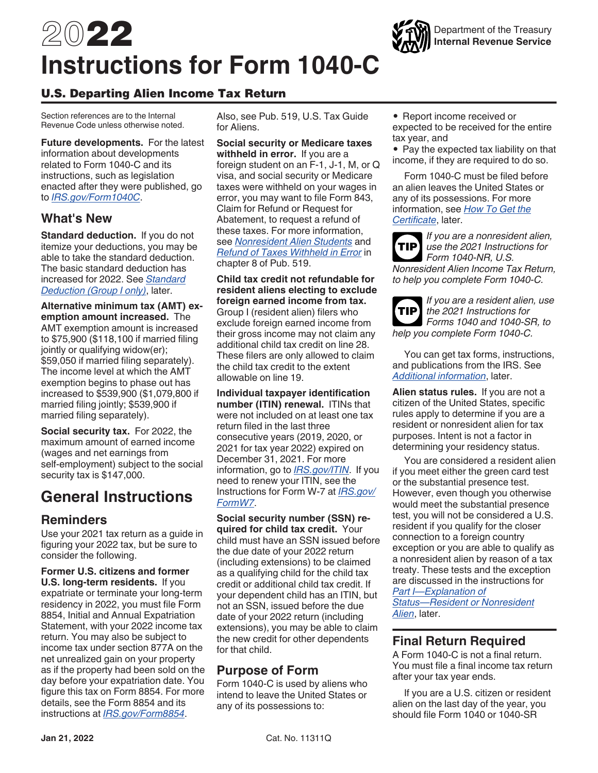

# U.S. Departing Alien Income Tax Return

Section references are to the Internal Revenue Code unless otherwise noted.

**Future developments.** For the latest information about developments related to Form 1040-C and its instructions, such as legislation enacted after they were published, go to *[IRS.gov/Form1040C](https://www.irs.gov/form1040c)*.

# **What's New**

**Standard deduction.** If you do not itemize your deductions, you may be able to take the standard deduction. The basic standard deduction has increased for 2022. See *[Standard](#page-8-0) [Deduction \(Group I only\)](#page-8-0)*, later.

**Alternative minimum tax (AMT) exemption amount increased.** The AMT exemption amount is increased to \$75,900 (\$118,100 if married filing jointly or qualifying widow(er); \$59,050 if married filing separately). The income level at which the AMT exemption begins to phase out has increased to \$539,900 (\$1,079,800 if married filing jointly; \$539,900 if married filing separately).

**Social security tax.** For 2022, the maximum amount of earned income (wages and net earnings from self-employment) subject to the social security tax is \$147,000.

# **General Instructions**

# **Reminders**

Use your 2021 tax return as a guide in figuring your 2022 tax, but be sure to consider the following.

**Former U.S. citizens and former U.S. long-term residents.** If you expatriate or terminate your long-term residency in 2022, you must file Form 8854, Initial and Annual Expatriation Statement, with your 2022 income tax return. You may also be subject to income tax under section 877A on the net unrealized gain on your property as if the property had been sold on the day before your expatriation date. You figure this tax on Form 8854. For more details, see the Form 8854 and its instructions at *[IRS.gov/Form8854](https://www.irs.gov/forms-pubs/about-form-8854)*.

Also, see Pub. 519, U.S. Tax Guide for Aliens.

**Social security or Medicare taxes withheld in error.** If you are a foreign student on an F-1, J-1, M, or Q visa, and social security or Medicare taxes were withheld on your wages in error, you may want to file Form 843, Claim for Refund or Request for Abatement, to request a refund of these taxes. For more information, see *[Nonresident Alien Students](https://www.irs.gov/publications/p519#en_US_2019_publink1000222282)* and *[Refund of Taxes Withheld in Error](https://www.irs.gov/publications/p519#en_US_2019_publink10003485)* in chapter 8 of Pub. 519.

**Child tax credit not refundable for resident aliens electing to exclude foreign earned income from tax.**  Group I (resident alien) filers who exclude foreign earned income from their gross income may not claim any additional child tax credit on line 28. These filers are only allowed to claim the child tax credit to the extent allowable on line 19.

**Individual taxpayer identification number (ITIN) renewal. ITINs that** were not included on at least one tax return filed in the last three consecutive years (2019, 2020, or 2021 for tax year 2022) expired on December 31, 2021. For more information, go to *[IRS.gov/ITIN](https://www.irs.gov/ITIN)*. If you need to renew your ITIN, see the Instructions for Form W-7 at *[IRS.gov/](https://www.irs.gov/forms-pubs/about-form-w-7) [FormW7](https://www.irs.gov/forms-pubs/about-form-w-7)*.

**Social security number (SSN) required for child tax credit.** Your child must have an SSN issued before the due date of your 2022 return (including extensions) to be claimed as a qualifying child for the child tax credit or additional child tax credit. If your dependent child has an ITIN, but not an SSN, issued before the due date of your 2022 return (including extensions), you may be able to claim the new credit for other dependents for that child.

# **Purpose of Form**

Form 1040-C is used by aliens who intend to leave the United States or any of its possessions to:

- Report income received or expected to be received for the entire tax year, and
- Pay the expected tax liability on that income, if they are required to do so.

Form 1040-C must be filed before an alien leaves the United States or any of its possessions. For more information, see *[How To Get the](#page-1-0)  [Certificate](#page-1-0)*, later.

*If you are a nonresident alien, use the 2021 Instructions for Form 1040-NR, U.S. Nonresident Alien Income Tax Return, to help you complete Form 1040-C.* **TIP**

*If you are a resident alien, use the 2021 Instructions for*  **TIP** *Forms 1040 and 1040-SR, to help you complete Form 1040-C.*

You can get tax forms, instructions, and publications from the IRS. See *[Additional information](#page-9-0)*, later.

**Alien status rules.** If you are not a citizen of the United States, specific rules apply to determine if you are a resident or nonresident alien for tax purposes. Intent is not a factor in determining your residency status.

You are considered a resident alien if you meet either the green card test or the substantial presence test. However, even though you otherwise would meet the substantial presence test, you will not be considered a U.S. resident if you qualify for the closer connection to a foreign country exception or you are able to qualify as a nonresident alien by reason of a tax treaty. These tests and the exception are discussed in the instructions for *[Part I—Explanation of](#page-4-0)* 

*[Status—Resident or Nonresident](#page-4-0) [Alien](#page-4-0)*, later.

# **Final Return Required**

A Form 1040-C is not a final return. You must file a final income tax return after your tax year ends.

If you are a U.S. citizen or resident alien on the last day of the year, you should file Form 1040 or 1040-SR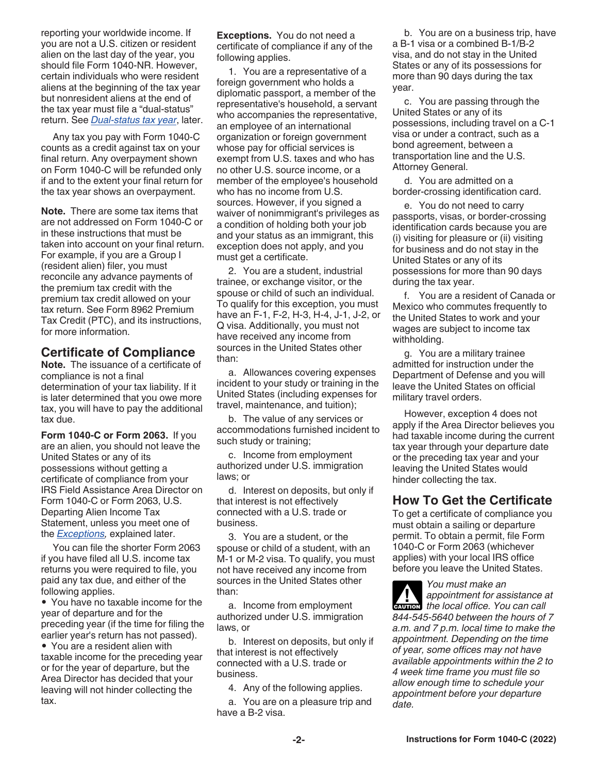<span id="page-1-0"></span>reporting your worldwide income. If you are not a U.S. citizen or resident alien on the last day of the year, you should file Form 1040-NR. However, certain individuals who were resident aliens at the beginning of the tax year but nonresident aliens at the end of the tax year must file a "dual-status" return. See *[Dual-status tax year](#page-5-0)*, later.

Any tax you pay with Form 1040-C counts as a credit against tax on your final return. Any overpayment shown on Form 1040-C will be refunded only if and to the extent your final return for the tax year shows an overpayment.

**Note.** There are some tax items that are not addressed on Form 1040-C or in these instructions that must be taken into account on your final return. For example, if you are a Group I (resident alien) filer, you must reconcile any advance payments of the premium tax credit with the premium tax credit allowed on your tax return. See Form 8962 Premium Tax Credit (PTC), and its instructions, for more information.

# **Certificate of Compliance**

**Note.** The issuance of a certificate of compliance is not a final determination of your tax liability. If it is later determined that you owe more tax, you will have to pay the additional tax due.

**Form 1040-C or Form 2063.** If you are an alien, you should not leave the United States or any of its possessions without getting a certificate of compliance from your IRS Field Assistance Area Director on Form 1040-C or Form 2063, U.S. Departing Alien Income Tax Statement, unless you meet one of the *Exceptions,* explained later.

You can file the shorter Form 2063 if you have filed all U.S. income tax returns you were required to file, you paid any tax due, and either of the following applies.

• You have no taxable income for the year of departure and for the preceding year (if the time for filing the earlier year's return has not passed).

• You are a resident alien with taxable income for the preceding year or for the year of departure, but the Area Director has decided that your leaving will not hinder collecting the tax.

**Exceptions.** You do not need a certificate of compliance if any of the following applies.

1. You are a representative of a foreign government who holds a diplomatic passport, a member of the representative's household, a servant who accompanies the representative, an employee of an international organization or foreign government whose pay for official services is exempt from U.S. taxes and who has no other U.S. source income, or a member of the employee's household who has no income from U.S. sources. However, if you signed a waiver of nonimmigrant's privileges as a condition of holding both your job and your status as an immigrant, this exception does not apply, and you must get a certificate.

2. You are a student, industrial trainee, or exchange visitor, or the spouse or child of such an individual. To qualify for this exception, you must have an F-1, F-2, H-3, H-4, J-1, J-2, or Q visa. Additionally, you must not have received any income from sources in the United States other than:

a. Allowances covering expenses incident to your study or training in the United States (including expenses for travel, maintenance, and tuition);

b. The value of any services or accommodations furnished incident to such study or training;

c. Income from employment authorized under U.S. immigration laws; or

d. Interest on deposits, but only if that interest is not effectively connected with a U.S. trade or business.

3. You are a student, or the spouse or child of a student, with an M-1 or M-2 visa. To qualify, you must not have received any income from sources in the United States other than:

a. Income from employment authorized under U.S. immigration laws, or

b. Interest on deposits, but only if that interest is not effectively connected with a U.S. trade or business.

4. Any of the following applies.

a. You are on a pleasure trip and have a B-2 visa.

b. You are on a business trip, have a B-1 visa or a combined B-1/B-2 visa, and do not stay in the United States or any of its possessions for more than 90 days during the tax year.

c. You are passing through the United States or any of its possessions, including travel on a C-1 visa or under a contract, such as a bond agreement, between a transportation line and the U.S. Attorney General.

d. You are admitted on a border-crossing identification card.

e. You do not need to carry passports, visas, or border-crossing identification cards because you are (i) visiting for pleasure or (ii) visiting for business and do not stay in the United States or any of its possessions for more than 90 days during the tax year.

f. You are a resident of Canada or Mexico who commutes frequently to the United States to work and your wages are subject to income tax withholding.

g. You are a military trainee admitted for instruction under the Department of Defense and you will leave the United States on official military travel orders.

However, exception 4 does not apply if the Area Director believes you had taxable income during the current tax year through your departure date or the preceding tax year and your leaving the United States would hinder collecting the tax.

# **How To Get the Certificate**

To get a certificate of compliance you must obtain a sailing or departure permit. To obtain a permit, file Form 1040-C or Form 2063 (whichever applies) with your local IRS office before you leave the United States.

*You must make an appointment for assistance at*  **developmental proposition** the local office. You can call *844-545-5640 between the hours of 7 a.m. and 7 p.m. local time to make the appointment. Depending on the time of year, some offices may not have available appointments within the 2 to 4 week time frame you must file so allow enough time to schedule your appointment before your departure date.*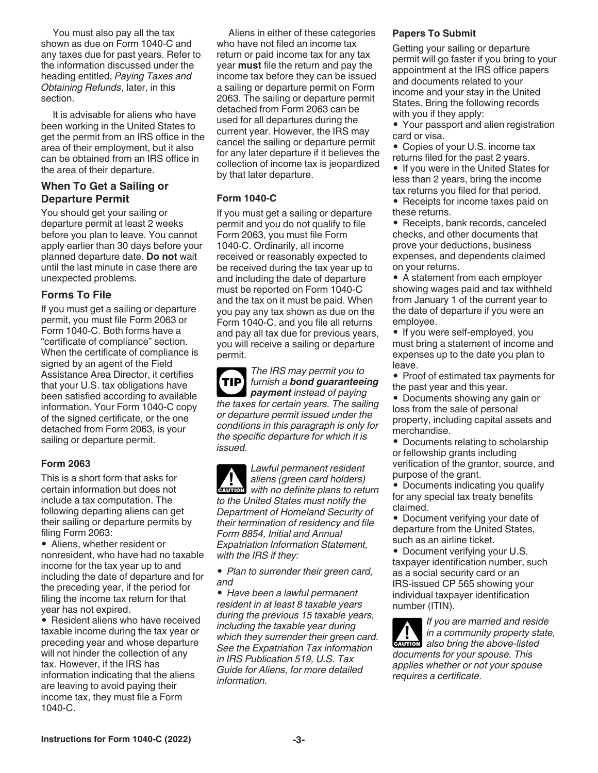You must also pay all the tax shown as due on Form 1040-C and any taxes due for past years. Refer to the information discussed under the heading entitled, *Paying Taxes and Obtaining Refunds*, later, in this section.

It is advisable for aliens who have been working in the United States to get the permit from an IRS office in the area of their employment, but it also can be obtained from an IRS office in the area of their departure.

### **When To Get a Sailing or Departure Permit**

You should get your sailing or departure permit at least 2 weeks before you plan to leave. You cannot apply earlier than 30 days before your planned departure date. **Do not** wait until the last minute in case there are unexpected problems.

# **Forms To File**

If you must get a sailing or departure permit, you must file Form 2063 or Form 1040-C. Both forms have a "certificate of compliance" section. When the certificate of compliance is signed by an agent of the Field Assistance Area Director, it certifies that your U.S. tax obligations have been satisfied according to available information. Your Form 1040-C copy of the signed certificate, or the one detached from Form 2063, is your sailing or departure permit.

### **Form 2063**

This is a short form that asks for certain information but does not include a tax computation. The following departing aliens can get their sailing or departure permits by filing Form 2063:

• Aliens, whether resident or nonresident, who have had no taxable income for the tax year up to and including the date of departure and for the preceding year, if the period for filing the income tax return for that year has not expired.

• Resident aliens who have received taxable income during the tax year or preceding year and whose departure will not hinder the collection of any tax. However, if the IRS has information indicating that the aliens are leaving to avoid paying their income tax, they must file a Form 1040-C.

Aliens in either of these categories who have not filed an income tax return or paid income tax for any tax year **must** file the return and pay the income tax before they can be issued a sailing or departure permit on Form 2063. The sailing or departure permit detached from Form 2063 can be used for all departures during the current year. However, the IRS may cancel the sailing or departure permit for any later departure if it believes the collection of income tax is jeopardized by that later departure.

### **Form 1040-C**

If you must get a sailing or departure permit and you do not qualify to file Form 2063, you must file Form 1040-C. Ordinarily, all income received or reasonably expected to be received during the tax year up to and including the date of departure must be reported on Form 1040-C and the tax on it must be paid. When you pay any tax shown as due on the Form 1040-C, and you file all returns and pay all tax due for previous years, you will receive a sailing or departure permit.

*The IRS may permit you to furnish a bond guaranteeing payment instead of paying the taxes for certain years. The sailing or departure permit issued under the conditions in this paragraph is only for the specific departure for which it is issued.* **TIP**

*Lawful permanent resident aliens (green card holders)*  **z** *with no definite plans to return to the United States must notify the Department of Homeland Security of their termination of residency and file Form 8854, Initial and Annual Expatriation Information Statement, with the IRS if they:*

*• Plan to surrender their green card, and*

*• Have been a lawful permanent resident in at least 8 taxable years during the previous 15 taxable years, including the taxable year during which they surrender their green card. See the Expatriation Tax information in IRS Publication 519, U.S. Tax Guide for Aliens, for more detailed information.*

### **Papers To Submit**

Getting your sailing or departure permit will go faster if you bring to your appointment at the IRS office papers and documents related to your income and your stay in the United States. Bring the following records with you if they apply:

- Your passport and alien registration card or visa.
- Copies of your U.S. income tax returns filed for the past 2 years.
- If you were in the United States for less than 2 years, bring the income tax returns you filed for that period.

• Receipts for income taxes paid on these returns.

• Receipts, bank records, canceled checks, and other documents that prove your deductions, business expenses, and dependents claimed on your returns.

• A statement from each employer showing wages paid and tax withheld from January 1 of the current year to the date of departure if you were an employee.

• If you were self-employed, you must bring a statement of income and expenses up to the date you plan to leave.

• Proof of estimated tax payments for the past year and this year.

• Documents showing any gain or loss from the sale of personal property, including capital assets and merchandise.

• Documents relating to scholarship or fellowship grants including verification of the grantor, source, and purpose of the grant.

- Documents indicating you qualify for any special tax treaty benefits claimed.
- Document verifying your date of departure from the United States, such as an airline ticket.

• Document verifying your U.S. taxpayer identification number, such as a social security card or an IRS-issued CP 565 showing your individual taxpayer identification number (ITIN).

*If you are married and reside in a community property state,*   $\frac{1}{2}$  in a community property stated also bring the above-listed *documents for your spouse. This applies whether or not your spouse requires a certificate.*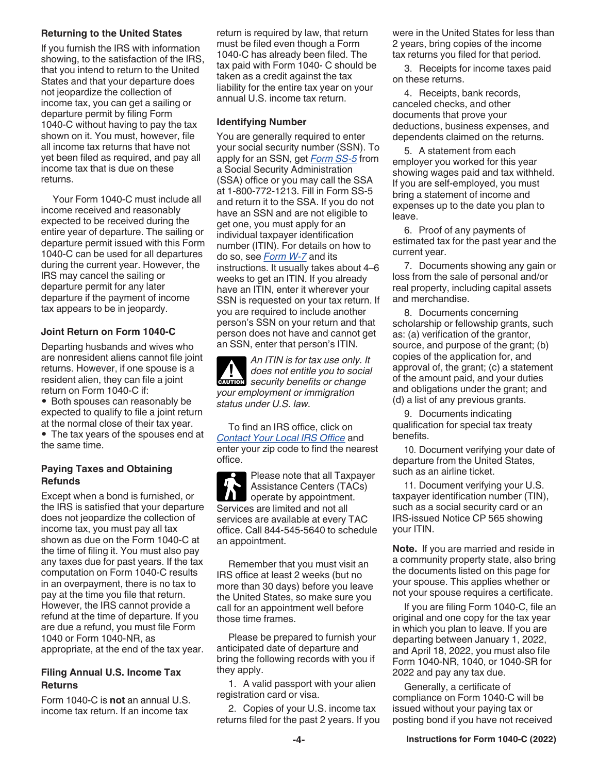### **Returning to the United States**

If you furnish the IRS with information showing, to the satisfaction of the IRS, that you intend to return to the United States and that your departure does not jeopardize the collection of income tax, you can get a sailing or departure permit by filing Form 1040-C without having to pay the tax shown on it. You must, however, file all income tax returns that have not yet been filed as required, and pay all income tax that is due on these returns.

Your Form 1040-C must include all income received and reasonably expected to be received during the entire year of departure. The sailing or departure permit issued with this Form 1040-C can be used for all departures during the current year. However, the IRS may cancel the sailing or departure permit for any later departure if the payment of income tax appears to be in jeopardy.

### **Joint Return on Form 1040-C**

Departing husbands and wives who are nonresident aliens cannot file joint returns. However, if one spouse is a resident alien, they can file a joint return on Form 1040-C if:

• Both spouses can reasonably be expected to qualify to file a joint return at the normal close of their tax year. • The tax years of the spouses end at the same time.

### **Paying Taxes and Obtaining Refunds**

Except when a bond is furnished, or the IRS is satisfied that your departure does not jeopardize the collection of income tax, you must pay all tax shown as due on the Form 1040-C at the time of filing it. You must also pay any taxes due for past years. If the tax computation on Form 1040-C results in an overpayment, there is no tax to pay at the time you file that return. However, the IRS cannot provide a refund at the time of departure. If you are due a refund, you must file Form 1040 or Form 1040-NR, as appropriate, at the end of the tax year.

### **Filing Annual U.S. Income Tax Returns**

Form 1040-C is **not** an annual U.S. income tax return. If an income tax

return is required by law, that return must be filed even though a Form 1040-C has already been filed. The tax paid with Form 1040- C should be taken as a credit against the tax liability for the entire tax year on your annual U.S. income tax return.

### **Identifying Number**

You are generally required to enter your social security number (SSN). To apply for an SSN, get *[Form SS-5](https://www.ssa.gov/ssnumber/)* from a Social Security Administration (SSA) office or you may call the SSA at 1-800-772-1213. Fill in Form SS-5 and return it to the SSA. If you do not have an SSN and are not eligible to get one, you must apply for an individual taxpayer identification number (ITIN). For details on how to do so, see *[Form W-7](https://www.irs.gov/forms-pubs/about-form-w-7)* and its instructions. It usually takes about 4–6 weeks to get an ITIN. If you already have an ITIN, enter it wherever your SSN is requested on your tax return. If you are required to include another person's SSN on your return and that person does not have and cannot get an SSN, enter that person's ITIN.

*An ITIN is for tax use only. It does not entitle you to social*  **does not entitle you to socially benefits or change** *your employment or immigration status under U.S. law.*

To find an IRS office, click on *[Contact Your Local IRS Office](https://www.irs.gov/help/contact-your-local-irs-office)* and enter your zip code to find the nearest office.

Please note that all Taxpayer Assistance Centers (TACs)  $\mathbf n$ operate by appointment. Services are limited and not all services are available at every TAC office. Call 844-545-5640 to schedule an appointment.

Remember that you must visit an IRS office at least 2 weeks (but no more than 30 days) before you leave the United States, so make sure you call for an appointment well before those time frames.

Please be prepared to furnish your anticipated date of departure and bring the following records with you if they apply.

1. A valid passport with your alien registration card or visa.

2. Copies of your U.S. income tax returns filed for the past 2 years. If you were in the United States for less than 2 years, bring copies of the income tax returns you filed for that period.

3. Receipts for income taxes paid on these returns.

4. Receipts, bank records, canceled checks, and other documents that prove your deductions, business expenses, and dependents claimed on the returns.

5. A statement from each employer you worked for this year showing wages paid and tax withheld. If you are self-employed, you must bring a statement of income and expenses up to the date you plan to leave.

6. Proof of any payments of estimated tax for the past year and the current year.

7. Documents showing any gain or loss from the sale of personal and/or real property, including capital assets and merchandise.

8. Documents concerning scholarship or fellowship grants, such as: (a) verification of the grantor, source, and purpose of the grant; (b) copies of the application for, and approval of, the grant; (c) a statement of the amount paid, and your duties and obligations under the grant; and (d) a list of any previous grants.

9. Documents indicating qualification for special tax treaty benefits.

10. Document verifying your date of departure from the United States, such as an airline ticket.

11. Document verifying your U.S. taxpayer identification number (TIN), such as a social security card or an IRS-issued Notice CP 565 showing your ITIN.

**Note.** If you are married and reside in a community property state, also bring the documents listed on this page for your spouse. This applies whether or not your spouse requires a certificate.

If you are filing Form 1040-C, file an original and one copy for the tax year in which you plan to leave. If you are departing between January 1, 2022, and April 18, 2022, you must also file Form 1040-NR, 1040, or 1040-SR for 2022 and pay any tax due.

Generally, a certificate of compliance on Form 1040-C will be issued without your paying tax or posting bond if you have not received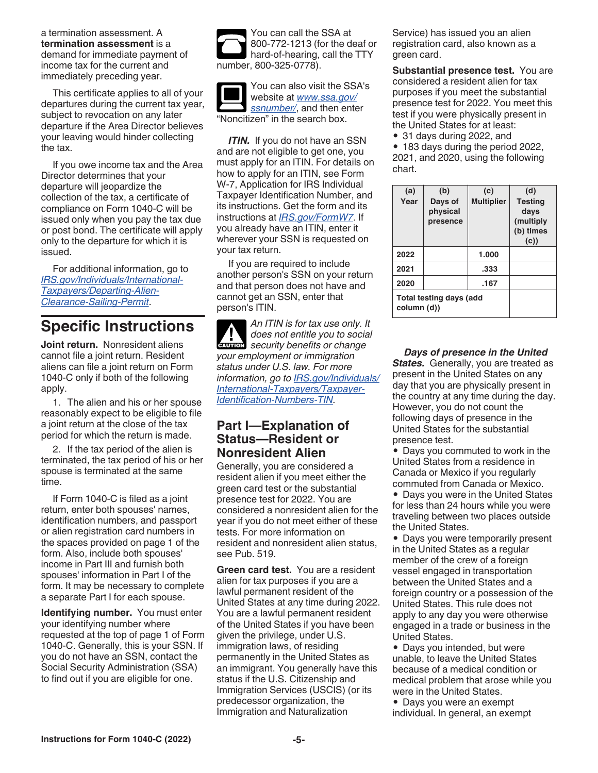<span id="page-4-0"></span>a termination assessment. A **termination assessment** is a demand for immediate payment of income tax for the current and immediately preceding year.

This certificate applies to all of your departures during the current tax year, subject to revocation on any later departure if the Area Director believes your leaving would hinder collecting the tax.

If you owe income tax and the Area Director determines that your departure will jeopardize the collection of the tax, a certificate of compliance on Form 1040-C will be issued only when you pay the tax due or post bond. The certificate will apply only to the departure for which it is issued.

For additional information, go to *[IRS.gov/Individuals/International-](https://www.irs.gov/individuals/international-taxpayers/departing-alien-clearance-sailing-permit)[Taxpayers/Departing-Alien-](https://www.irs.gov/individuals/international-taxpayers/departing-alien-clearance-sailing-permit)[Clearance-Sailing-Permit](https://www.irs.gov/individuals/international-taxpayers/departing-alien-clearance-sailing-permit)*.

# **Specific Instructions**

**Joint return.** Nonresident aliens cannot file a joint return. Resident aliens can file a joint return on Form 1040-C only if both of the following apply.

1. The alien and his or her spouse reasonably expect to be eligible to file a joint return at the close of the tax period for which the return is made.

2. If the tax period of the alien is terminated, the tax period of his or her spouse is terminated at the same time.

If Form 1040-C is filed as a joint return, enter both spouses' names, identification numbers, and passport or alien registration card numbers in the spaces provided on page 1 of the form. Also, include both spouses' income in Part III and furnish both spouses' information in Part I of the form. It may be necessary to complete a separate Part I for each spouse.

**Identifying number.** You must enter your identifying number where requested at the top of page 1 of Form 1040-C. Generally, this is your SSN. If you do not have an SSN, contact the Social Security Administration (SSA) to find out if you are eligible for one.



You can also visit the SSA's website at *[www.ssa.gov/](https://www.ssa.gov/ssnumber/) [ssnumber/](https://www.ssa.gov/ssnumber/)*, and then enter "Noncitizen" in the search box.

*ITIN.* If you do not have an SSN and are not eligible to get one, you must apply for an ITIN. For details on how to apply for an ITIN, see Form W-7, Application for IRS Individual Taxpayer Identification Number, and its instructions. Get the form and its instructions at *[IRS.gov/FormW7](https://www.irs.gov/forms-pubs/about-form-w-7)*. If you already have an ITIN, enter it wherever your SSN is requested on your tax return.

If you are required to include another person's SSN on your return and that person does not have and cannot get an SSN, enter that person's ITIN.

*An ITIN is for tax use only. It does not entitle you to social*  **does not entitle you to socially benefits or change** *your employment or immigration status under U.S. law. For more information, go to [IRS.gov/Individuals/](https://www.irs.gov/individuals/international-taxpayers/taxpayer-identification-numbers-tin) [International-Taxpayers/Taxpayer-](https://www.irs.gov/individuals/international-taxpayers/taxpayer-identification-numbers-tin)[Identification-Numbers-TIN](https://www.irs.gov/individuals/international-taxpayers/taxpayer-identification-numbers-tin).*

# **Part I—Explanation of Status—Resident or Nonresident Alien**

Generally, you are considered a resident alien if you meet either the green card test or the substantial presence test for 2022. You are considered a nonresident alien for the year if you do not meet either of these tests. For more information on resident and nonresident alien status, see Pub. 519.

**Green card test.** You are a resident alien for tax purposes if you are a lawful permanent resident of the United States at any time during 2022. You are a lawful permanent resident of the United States if you have been given the privilege, under U.S. immigration laws, of residing permanently in the United States as an immigrant. You generally have this status if the U.S. Citizenship and Immigration Services (USCIS) (or its predecessor organization, the Immigration and Naturalization

Service) has issued you an alien registration card, also known as a green card.

**Substantial presence test.** You are considered a resident alien for tax purposes if you meet the substantial presence test for 2022. You meet this test if you were physically present in the United States for at least:

• 31 days during 2022, and

• 183 days during the period 2022, 2021, and 2020, using the following chart.

| (a)                                           | (b)                             | (c)               | (d)                                                     |
|-----------------------------------------------|---------------------------------|-------------------|---------------------------------------------------------|
| Year                                          | Days of<br>physical<br>presence | <b>Multiplier</b> | <b>Testing</b><br>days<br>(multiply<br>(b) times<br>(c) |
| 2022                                          |                                 | 1.000             |                                                         |
| 2021                                          |                                 | .333              |                                                         |
| 2020                                          |                                 | .167              |                                                         |
| <b>Total testing days (add</b><br>column (d)) |                                 |                   |                                                         |

*Days of presence in the United*  **States.** Generally, you are treated as present in the United States on any day that you are physically present in the country at any time during the day. However, you do not count the following days of presence in the United States for the substantial presence test.

• Days you commuted to work in the United States from a residence in Canada or Mexico if you regularly commuted from Canada or Mexico.

• Days you were in the United States for less than 24 hours while you were traveling between two places outside the United States.

• Days you were temporarily present in the United States as a regular member of the crew of a foreign vessel engaged in transportation between the United States and a foreign country or a possession of the United States. This rule does not apply to any day you were otherwise engaged in a trade or business in the United States.

• Days you intended, but were unable, to leave the United States because of a medical condition or medical problem that arose while you were in the United States.

• Days you were an exempt individual. In general, an exempt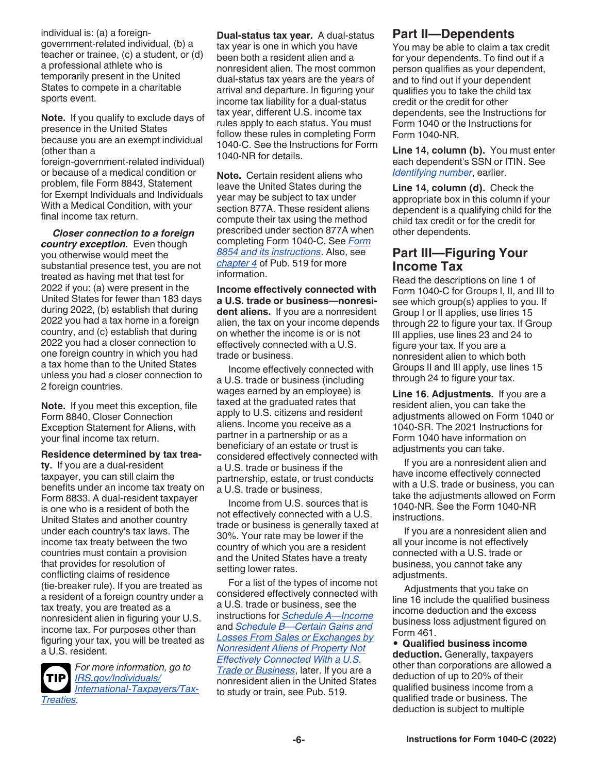<span id="page-5-0"></span>individual is: (a) a foreigngovernment-related individual, (b) a teacher or trainee, (c) a student, or (d) a professional athlete who is temporarily present in the United States to compete in a charitable sports event.

**Note.** If you qualify to exclude days of presence in the United States because you are an exempt individual (other than a

foreign-government-related individual) or because of a medical condition or problem, file Form 8843, Statement for Exempt Individuals and Individuals With a Medical Condition, with your final income tax return.

*Closer connection to a foreign country exception.* Even though you otherwise would meet the substantial presence test, you are not treated as having met that test for 2022 if you: (a) were present in the United States for fewer than 183 days during 2022, (b) establish that during 2022 you had a tax home in a foreign country, and (c) establish that during 2022 you had a closer connection to one foreign country in which you had a tax home than to the United States unless you had a closer connection to 2 foreign countries.

**Note.** If you meet this exception, file Form 8840, Closer Connection Exception Statement for Aliens, with your final income tax return.

#### **Residence determined by tax trea-**

**ty.** If you are a dual-resident taxpayer, you can still claim the benefits under an income tax treaty on Form 8833. A dual-resident taxpayer is one who is a resident of both the United States and another country under each country's tax laws. The income tax treaty between the two countries must contain a provision that provides for resolution of conflicting claims of residence (tie-breaker rule). If you are treated as a resident of a foreign country under a tax treaty, you are treated as a nonresident alien in figuring your U.S. income tax. For purposes other than figuring your tax, you will be treated as a U.S. resident.



*For more information, go to [IRS.gov/Individuals/](https://www.irs.gov/individuals/international-taxpayers/tax-treaties) [International-Taxpayers/Tax-](https://www.irs.gov/individuals/international-taxpayers/tax-treaties)[Treaties.](https://www.irs.gov/individuals/international-taxpayers/tax-treaties)*

**Dual-status tax year.** A dual-status tax year is one in which you have been both a resident alien and a nonresident alien. The most common dual-status tax years are the years of arrival and departure. In figuring your income tax liability for a dual-status tax year, different U.S. income tax rules apply to each status. You must follow these rules in completing Form 1040-C. See the Instructions for Form 1040-NR for details.

**Note.** Certain resident aliens who leave the United States during the year may be subject to tax under section 877A. These resident aliens compute their tax using the method prescribed under section 877A when completing Form 1040-C. See *[Form](https://www.irs.gov/forms-pubs/about-form-8854)  [8854 and its instructions](https://www.irs.gov/forms-pubs/about-form-8854)*. Also, see *[chapter 4](https://www.irs.gov/publications/p519#en_US_2020_publink1000222302)* of Pub. 519 for more information.

**Income effectively connected with a U.S. trade or business—nonresident aliens.** If you are a nonresident alien, the tax on your income depends on whether the income is or is not effectively connected with a U.S. trade or business.

Income effectively connected with a U.S. trade or business (including wages earned by an employee) is taxed at the graduated rates that apply to U.S. citizens and resident aliens. Income you receive as a partner in a partnership or as a beneficiary of an estate or trust is considered effectively connected with a U.S. trade or business if the partnership, estate, or trust conducts a U.S. trade or business.

Income from U.S. sources that is not effectively connected with a U.S. trade or business is generally taxed at 30%. Your rate may be lower if the country of which you are a resident and the United States have a treaty setting lower rates.

For a list of the types of income not considered effectively connected with a U.S. trade or business, see the instructions for *[Schedule A—Income](#page-7-0)*  and *[Schedule B—Certain Gains and](#page-8-0)  [Losses From Sales or Exchanges by](#page-8-0)  [Nonresident Aliens of Property Not](#page-8-0) [Effectively Connected With a U.S.](#page-8-0) [Trade or Business](#page-8-0)*, later. If you are a nonresident alien in the United States to study or train, see Pub. 519.

# **Part II—Dependents**

You may be able to claim a tax credit for your dependents. To find out if a person qualifies as your dependent, and to find out if your dependent qualifies you to take the child tax credit or the credit for other dependents, see the Instructions for Form 1040 or the Instructions for Form 1040-NR.

**Line 14, column (b).** You must enter each dependent's SSN or ITIN. See *[Identifying number](#page-4-0)*, earlier.

**Line 14, column (d).** Check the appropriate box in this column if your dependent is a qualifying child for the child tax credit or for the credit for other dependents.

# **Part III—Figuring Your Income Tax**

Read the descriptions on line 1 of Form 1040-C for Groups I, II, and III to see which group(s) applies to you. If Group I or II applies, use lines 15 through 22 to figure your tax. If Group III applies, use lines 23 and 24 to figure your tax. If you are a nonresident alien to which both Groups II and III apply, use lines 15 through 24 to figure your tax.

**Line 16. Adjustments.** If you are a resident alien, you can take the adjustments allowed on Form 1040 or 1040-SR. The 2021 Instructions for Form 1040 have information on adjustments you can take.

If you are a nonresident alien and have income effectively connected with a U.S. trade or business, you can take the adjustments allowed on Form 1040-NR. See the Form 1040-NR instructions.

If you are a nonresident alien and all your income is not effectively connected with a U.S. trade or business, you cannot take any adjustments.

Adjustments that you take on line 16 include the qualified business income deduction and the excess business loss adjustment figured on Form 461.

• **Qualified business income deduction.** Generally, taxpayers other than corporations are allowed a deduction of up to 20% of their qualified business income from a qualified trade or business. The deduction is subject to multiple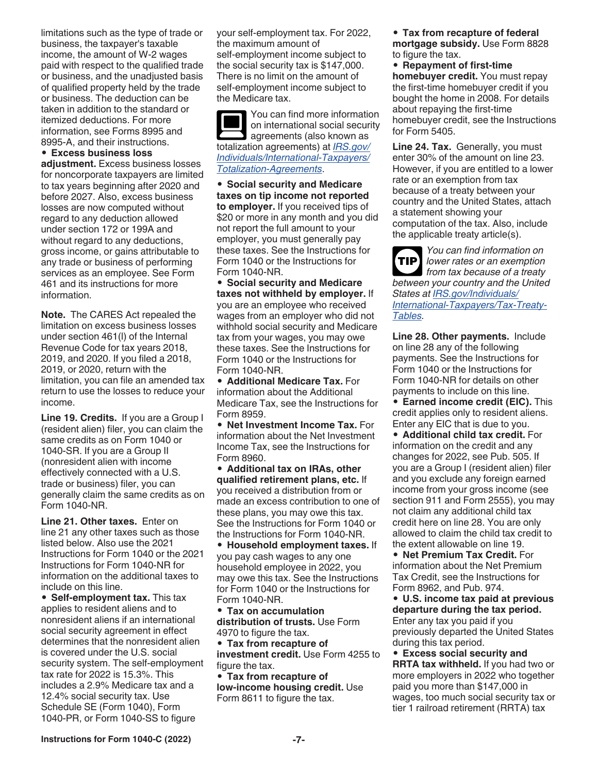limitations such as the type of trade or business, the taxpayer's taxable income, the amount of W-2 wages paid with respect to the qualified trade or business, and the unadjusted basis of qualified property held by the trade or business. The deduction can be taken in addition to the standard or itemized deductions. For more information, see Forms 8995 and 8995-A, and their instructions.

#### • **Excess business loss**

**adjustment.** Excess business losses for noncorporate taxpayers are limited to tax years beginning after 2020 and before 2027. Also, excess business losses are now computed without regard to any deduction allowed under section 172 or 199A and without regard to any deductions, gross income, or gains attributable to any trade or business of performing services as an employee. See Form 461 and its instructions for more information.

**Note.** The CARES Act repealed the limitation on excess business losses under section 461(l) of the Internal Revenue Code for tax years 2018, 2019, and 2020. If you filed a 2018, 2019, or 2020, return with the limitation, you can file an amended tax return to use the losses to reduce your income.

**Line 19. Credits.** If you are a Group I (resident alien) filer, you can claim the same credits as on Form 1040 or 1040-SR. If you are a Group II (nonresident alien with income effectively connected with a U.S. trade or business) filer, you can generally claim the same credits as on Form 1040-NR.

**Line 21. Other taxes.** Enter on line 21 any other taxes such as those listed below. Also use the 2021 Instructions for Form 1040 or the 2021 Instructions for Form 1040-NR for information on the additional taxes to include on this line.

• **Self-employment tax.** This tax applies to resident aliens and to nonresident aliens if an international social security agreement in effect determines that the nonresident alien is covered under the U.S. social security system. The self-employment tax rate for 2022 is 15.3%. This includes a 2.9% Medicare tax and a 12.4% social security tax. Use Schedule SE (Form 1040), Form 1040-PR, or Form 1040-SS to figure

your self-employment tax. For 2022, the maximum amount of self-employment income subject to the social security tax is \$147,000. There is no limit on the amount of self-employment income subject to the Medicare tax.

You can find more information on international social security agreements (also known as totalization agreements) at *[IRS.gov/](https://www.irs.gov/individuals/international-taxpayers/totalization-agreements) [Individuals/International-Taxpayers/](https://www.irs.gov/individuals/international-taxpayers/totalization-agreements) [Totalization-Agreements](https://www.irs.gov/individuals/international-taxpayers/totalization-agreements)*.

• **Social security and Medicare taxes on tip income not reported to employer.** If you received tips of \$20 or more in any month and you did not report the full amount to your employer, you must generally pay these taxes. See the Instructions for Form 1040 or the Instructions for Form 1040-NR.

• **Social security and Medicare taxes not withheld by employer.** If you are an employee who received wages from an employer who did not withhold social security and Medicare tax from your wages, you may owe these taxes. See the Instructions for Form 1040 or the Instructions for Form 1040-NR.

• **Additional Medicare Tax.** For information about the Additional Medicare Tax, see the Instructions for Form 8959.

• **Net Investment Income Tax.** For information about the Net Investment Income Tax, see the Instructions for Form 8960.

• **Additional tax on IRAs, other qualified retirement plans, etc.** If you received a distribution from or made an excess contribution to one of these plans, you may owe this tax. See the Instructions for Form 1040 or the Instructions for Form 1040-NR.

• **Household employment taxes.** If you pay cash wages to any one household employee in 2022, you may owe this tax. See the Instructions for Form 1040 or the Instructions for Form 1040-NR.

• **Tax on accumulation distribution of trusts.** Use Form 4970 to figure the tax.

• **Tax from recapture of investment credit.** Use Form 4255 to figure the tax.

• **Tax from recapture of low-income housing credit.** Use Form 8611 to figure the tax.

• **Tax from recapture of federal mortgage subsidy.** Use Form 8828 to figure the tax.

• **Repayment of first-time homebuyer credit.** You must repay the first-time homebuyer credit if you bought the home in 2008. For details about repaying the first-time homebuyer credit, see the Instructions for Form 5405.

**Line 24. Tax.** Generally, you must enter 30% of the amount on line 23. However, if you are entitled to a lower rate or an exemption from tax because of a treaty between your country and the United States, attach a statement showing your computation of the tax. Also, include the applicable treaty article(s).

*You can find information on lower rates or an exemption from tax because of a treaty between your country and the United States at [IRS.gov/Individuals/](https://www.irs.gov/individuals/international-taxpayers/tax-treaty-tables) [International-Taxpayers/Tax-Treaty-](https://www.irs.gov/individuals/international-taxpayers/tax-treaty-tables)[Tables.](https://www.irs.gov/individuals/international-taxpayers/tax-treaty-tables)* **TIP**

**Line 28. Other payments.** Include on line 28 any of the following payments. See the Instructions for Form 1040 or the Instructions for Form 1040-NR for details on other payments to include on this line.

• **Earned income credit (EIC).** This credit applies only to resident aliens. Enter any EIC that is due to you.

• **Additional child tax credit.** For information on the credit and any changes for 2022, see Pub. 505. If you are a Group I (resident alien) filer and you exclude any foreign earned income from your gross income (see section 911 and Form 2555), you may not claim any additional child tax credit here on line 28. You are only allowed to claim the child tax credit to the extent allowable on line 19.

• **Net Premium Tax Credit.** For information about the Net Premium Tax Credit, see the Instructions for Form 8962, and Pub. 974.

• **U.S. income tax paid at previous departure during the tax period.**  Enter any tax you paid if you previously departed the United States during this tax period.

• **Excess social security and RRTA tax withheld.** If you had two or more employers in 2022 who together paid you more than \$147,000 in wages, too much social security tax or tier 1 railroad retirement (RRTA) tax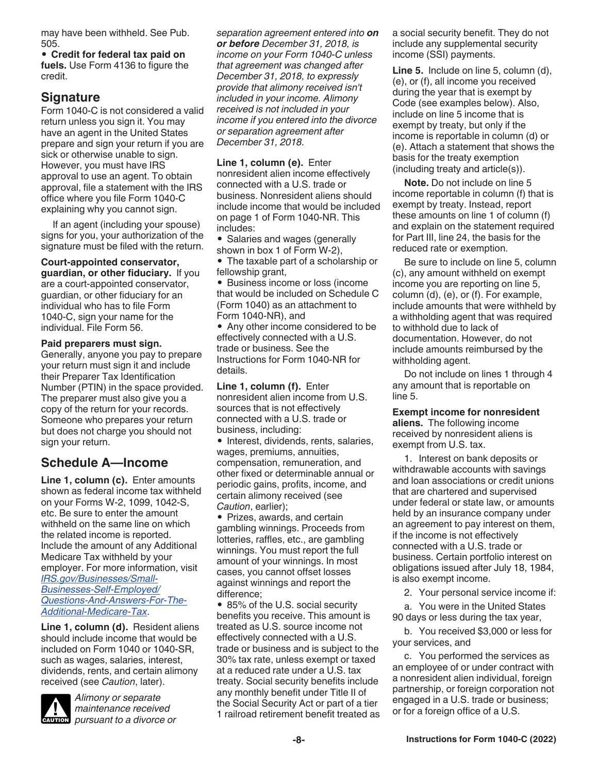<span id="page-7-0"></span>may have been withheld. See Pub. 505.

• **Credit for federal tax paid on fuels.** Use Form 4136 to figure the credit.

# **Signature**

Form 1040-C is not considered a valid return unless you sign it. You may have an agent in the United States prepare and sign your return if you are sick or otherwise unable to sign. However, you must have IRS approval to use an agent. To obtain approval, file a statement with the IRS office where you file Form 1040-C explaining why you cannot sign.

If an agent (including your spouse) signs for you, your authorization of the signature must be filed with the return.

**Court-appointed conservator, guardian, or other fiduciary.** If you are a court-appointed conservator, guardian, or other fiduciary for an individual who has to file Form 1040-C, sign your name for the individual. File Form 56.

**Paid preparers must sign.**  Generally, anyone you pay to prepare your return must sign it and include their Preparer Tax Identification Number (PTIN) in the space provided. The preparer must also give you a copy of the return for your records.

### Someone who prepares your return but does not charge you should not sign your return.

# **Schedule A—Income**

**Line 1, column (c).** Enter amounts shown as federal income tax withheld on your Forms W-2, 1099, 1042-S, etc. Be sure to enter the amount withheld on the same line on which the related income is reported. Include the amount of any Additional Medicare Tax withheld by your employer. For more information, visit *[IRS.gov/Businesses/Small-](https://www.irs.gov/businesses/small-businesses-self-employed/questions-and-answers-for-the-additional-medicare-tax)[Businesses-Self-Employed/](https://www.irs.gov/businesses/small-businesses-self-employed/questions-and-answers-for-the-additional-medicare-tax) [Questions-And-Answers-For-The-](https://www.irs.gov/businesses/small-businesses-self-employed/questions-and-answers-for-the-additional-medicare-tax)[Additional-Medicare-Tax](https://www.irs.gov/businesses/small-businesses-self-employed/questions-and-answers-for-the-additional-medicare-tax)*.

**Line 1, column (d).** Resident aliens should include income that would be included on Form 1040 or 1040-SR, such as wages, salaries, interest, dividends, rents, and certain alimony received (see *Caution*, later).



*Alimony or separate maintenance received pursuant to a divorce or* 

*separation agreement entered into on or before December 31, 2018, is income on your Form 1040-C unless that agreement was changed after December 31, 2018, to expressly provide that alimony received isn't included in your income. Alimony received is not included in your income if you entered into the divorce or separation agreement after December 31, 2018.*

**Line 1, column (e).** Enter nonresident alien income effectively connected with a U.S. trade or business. Nonresident aliens should include income that would be included on page 1 of Form 1040-NR. This includes:

• Salaries and wages (generally shown in box 1 of Form W-2),

• The taxable part of a scholarship or fellowship grant,

• Business income or loss (income that would be included on Schedule C (Form 1040) as an attachment to Form 1040-NR), and

• Any other income considered to be effectively connected with a U.S. trade or business. See the Instructions for Form 1040-NR for details.

**Line 1, column (f).** Enter nonresident alien income from U.S. sources that is not effectively connected with a U.S. trade or business, including:

• Interest, dividends, rents, salaries, wages, premiums, annuities, compensation, remuneration, and other fixed or determinable annual or periodic gains, profits, income, and certain alimony received (see *Caution*, earlier);

• Prizes, awards, and certain gambling winnings. Proceeds from lotteries, raffles, etc., are gambling winnings. You must report the full amount of your winnings. In most cases, you cannot offset losses against winnings and report the difference;

• 85% of the U.S. social security benefits you receive. This amount is treated as U.S. source income not effectively connected with a U.S. trade or business and is subject to the 30% tax rate, unless exempt or taxed at a reduced rate under a U.S. tax treaty. Social security benefits include any monthly benefit under Title II of the Social Security Act or part of a tier 1 railroad retirement benefit treated as a social security benefit. They do not include any supplemental security income (SSI) payments.

**Line 5.** Include on line 5, column (d), (e), or (f), all income you received during the year that is exempt by Code (see examples below). Also, include on line 5 income that is exempt by treaty, but only if the income is reportable in column (d) or (e). Attach a statement that shows the basis for the treaty exemption (including treaty and article(s)).

**Note.** Do not include on line 5 income reportable in column (f) that is exempt by treaty. Instead, report these amounts on line 1 of column (f) and explain on the statement required for Part III, line 24, the basis for the reduced rate or exemption.

Be sure to include on line 5, column (c), any amount withheld on exempt income you are reporting on line 5, column (d), (e), or (f). For example, include amounts that were withheld by a withholding agent that was required to withhold due to lack of documentation. However, do not include amounts reimbursed by the withholding agent.

Do not include on lines 1 through 4 any amount that is reportable on line 5.

**Exempt income for nonresident aliens.** The following income received by nonresident aliens is exempt from U.S. tax.

1. Interest on bank deposits or withdrawable accounts with savings and loan associations or credit unions that are chartered and supervised under federal or state law, or amounts held by an insurance company under an agreement to pay interest on them, if the income is not effectively connected with a U.S. trade or business. Certain portfolio interest on obligations issued after July 18, 1984, is also exempt income.

2. Your personal service income if:

a. You were in the United States 90 days or less during the tax year,

b. You received \$3,000 or less for your services, and

c. You performed the services as an employee of or under contract with a nonresident alien individual, foreign partnership, or foreign corporation not engaged in a U.S. trade or business; or for a foreign office of a U.S.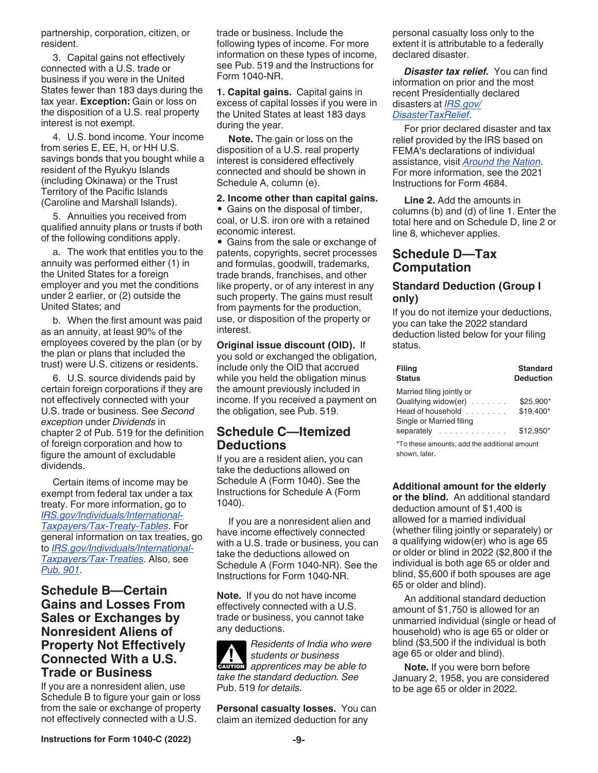<span id="page-8-0"></span>partnership, corporation, citizen, or resident.

3. Capital gains not effectively connected with a U.S. trade or business if you were in the United States fewer than 183 days during the tax year. **Exception:** Gain or loss on the disposition of a U.S. real property interest is not exempt.

4. U.S. bond income. Your income from series E, EE, H, or HH U.S. savings bonds that you bought while a resident of the Ryukyu Islands (including Okinawa) or the Trust Territory of the Pacific Islands (Caroline and Marshall Islands).

5. Annuities you received from qualified annuity plans or trusts if both of the following conditions apply.

a. The work that entitles you to the annuity was performed either (1) in the United States for a foreign employer and you met the conditions under 2 earlier, or (2) outside the United States; and

b. When the first amount was paid as an annuity, at least 90% of the employees covered by the plan (or by the plan or plans that included the trust) were U.S. citizens or residents.

6. U.S. source dividends paid by certain foreign corporations if they are not effectively connected with your U.S. trade or business. See *Second exception* under *Dividends* in chapter 2 of Pub. 519 for the definition of foreign corporation and how to figure the amount of excludable dividends.

Certain items of income may be exempt from federal tax under a tax treaty. For more information, go to *[IRS.gov/Individuals/International-](https://www.irs.gov/individuals/international-taxpayers/tax-treaty-tables)[Taxpayers/Tax-Treaty-Tables](https://www.irs.gov/individuals/international-taxpayers/tax-treaty-tables)*. For general information on tax treaties, go to *[IRS.gov/Individuals/International-](https://www.irs.gov/individuals/international-taxpayers/tax-treaties)[Taxpayers/Tax-Treaties](https://www.irs.gov/individuals/international-taxpayers/tax-treaties)*. Also, see *[Pub. 901](https://www.irs.gov/publications/p901)*.

# **Schedule B—Certain Gains and Losses From Sales or Exchanges by Nonresident Aliens of Property Not Effectively Connected With a U.S. Trade or Business**

If you are a nonresident alien, use Schedule B to figure your gain or loss from the sale or exchange of property not effectively connected with a U.S.

trade or business. Include the following types of income. For more information on these types of income, see Pub. 519 and the Instructions for Form 1040-NR.

**1. Capital gains.** Capital gains in excess of capital losses if you were in the United States at least 183 days during the year.

**Note.** The gain or loss on the disposition of a U.S. real property interest is considered effectively connected and should be shown in Schedule A, column (e).

#### **2. Income other than capital gains.**

• Gains on the disposal of timber, coal, or U.S. iron ore with a retained economic interest.

• Gains from the sale or exchange of patents, copyrights, secret processes and formulas, goodwill, trademarks, trade brands, franchises, and other like property, or of any interest in any such property. The gains must result from payments for the production, use, or disposition of the property or interest.

**Original issue discount (OID).** If you sold or exchanged the obligation, include only the OID that accrued while you held the obligation minus the amount previously included in income. If you received a payment on the obligation, see Pub. 519.

# **Schedule C—Itemized Deductions**

If you are a resident alien, you can take the deductions allowed on Schedule A (Form 1040). See the Instructions for Schedule A (Form 1040).

If you are a nonresident alien and have income effectively connected with a U.S. trade or business, you can take the deductions allowed on Schedule A (Form 1040-NR). See the Instructions for Form 1040-NR.

**Note.** If you do not have income effectively connected with a U.S. trade or business, you cannot take any deductions.

*Residents of India who were students or business*  **z** students or business<br>apprentices may be able to *take the standard deduction. See*  Pub. 519 *for details.*

**Personal casualty losses.** You can claim an itemized deduction for any

personal casualty loss only to the extent it is attributable to a federally declared disaster.

*Disaster tax relief.* You can find information on prior and the most recent Presidentially declared disasters at *[IRS.gov/](https://www.IRS.gov/DisasterTaxRelief) [DisasterTaxRelief](https://www.IRS.gov/DisasterTaxRelief)*.

For prior declared disaster and tax relief provided by the IRS based on FEMA's declarations of individual assistance, visit *[Around the Nation](https://www.irs.gov/newsroom/around-the-nation)*. For more information, see the 2021 Instructions for Form 4684.

**Line 2.** Add the amounts in columns (b) and (d) of line 1. Enter the total here and on Schedule D, line 2 or line 8, whichever applies.

# **Schedule D—Tax Computation**

### **Standard Deduction (Group I only)**

If you do not itemize your deductions, you can take the 2022 standard deduction listed below for your filing status.

| <b>Filing</b><br><b>Status</b>               | <b>Standard</b><br><b>Deduction</b> |
|----------------------------------------------|-------------------------------------|
| Married filing jointly or                    |                                     |
| Qualifying widow(er) $\ldots$                | \$25,900*                           |
| Head of household $\ldots$ , $\ldots$        | \$19,400*                           |
| Single or Married filing                     |                                     |
| separately                                   | \$12.950*                           |
| *To these amounts, add the additional amount |                                     |

shown, later.

# **Additional amount for the elderly**

**or the blind.** An additional standard deduction amount of \$1,400 is allowed for a married individual (whether filing jointly or separately) or a qualifying widow(er) who is age 65 or older or blind in 2022 (\$2,800 if the individual is both age 65 or older and blind, \$5,600 if both spouses are age 65 or older and blind).

An additional standard deduction amount of \$1,750 is allowed for an unmarried individual (single or head of household) who is age 65 or older or blind (\$3,500 if the individual is both age 65 or older and blind).

**Note.** If you were born before January 2, 1958, you are considered to be age 65 or older in 2022.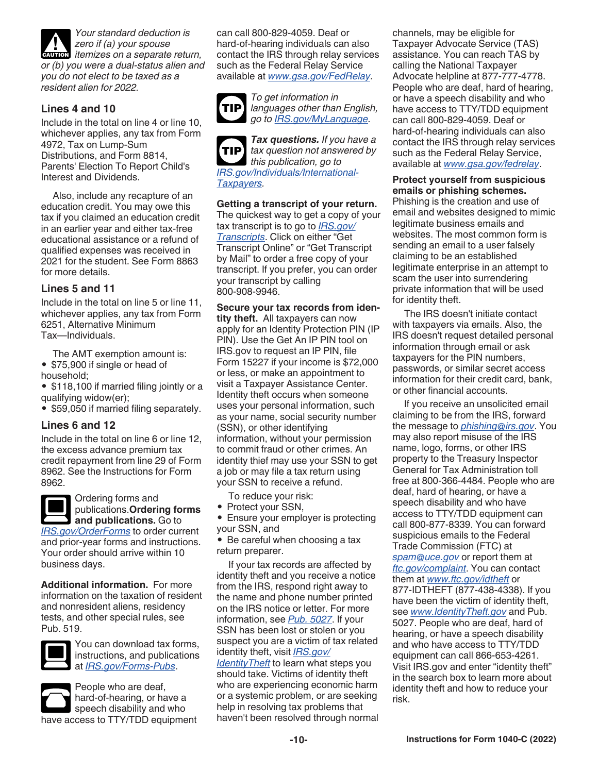<span id="page-9-0"></span>

*Your standard deduction is zero if (a) your spouse zero if (a) your spouse*<br> **CAUTION** *itemizes on a separate return,* 

*or (b) you were a dual-status alien and you do not elect to be taxed as a resident alien for 2022.*

## **Lines 4 and 10**

Include in the total on line 4 or line 10, whichever applies, any tax from Form 4972, Tax on Lump-Sum Distributions, and Form 8814, Parents' Election To Report Child's Interest and Dividends.

Also, include any recapture of an education credit. You may owe this tax if you claimed an education credit in an earlier year and either tax-free educational assistance or a refund of qualified expenses was received in 2021 for the student. See Form 8863 for more details.

### **Lines 5 and 11**

Include in the total on line 5 or line 11, whichever applies, any tax from Form 6251, Alternative Minimum Tax—Individuals.

The AMT exemption amount is: • \$75,900 if single or head of household;

• \$118,100 if married filing jointly or a qualifying widow(er);

• \$59,050 if married filing separately.

#### **Lines 6 and 12**

Include in the total on line 6 or line 12, the excess advance premium tax credit repayment from line 29 of Form 8962. See the Instructions for Form 8962.



Ordering forms and publications.**Ordering forms and publications.** Go to

*[IRS.gov/OrderForms](https://www.irs.gov/orderforms)* to order current and prior-year forms and instructions. Your order should arrive within 10 business days.

**Additional information.** For more information on the taxation of resident and nonresident aliens, residency tests, and other special rules, see Pub. 519.



You can download tax forms, instructions, and publications at *[IRS.gov/Forms-Pubs](https://www.irs.gov/forms-pubs)*.



People who are deaf, hard-of-hearing, or have a speech disability and who have access to TTY/TDD equipment can call 800-829-4059. Deaf or hard-of-hearing individuals can also contact the IRS through relay services such as the Federal Relay Service available at *[www.gsa.gov/FedRelay](http://www.gsa.gov/fedrelay)*.



*To get information in languages other than English, go to [IRS.gov/MyLanguage](https://www.irs.gov/mylanguage).*

*Tax questions. If you have a tax question not answered by this publication, go to [IRS.gov/Individuals/International-](https://www.irs.gov/individuals/international-taxpayers)[Taxpayers](https://www.irs.gov/individuals/international-taxpayers).* **TIP**

**Getting a transcript of your return.** 

The quickest way to get a copy of your tax transcript is to go to *[IRS.gov/](https://www.irs.gov/transcripts) [Transcripts](https://www.irs.gov/transcripts)*. Click on either "Get Transcript Online" or "Get Transcript by Mail" to order a free copy of your transcript. If you prefer, you can order your transcript by calling 800-908-9946.

**Secure your tax records from iden-**

**tity theft.** All taxpayers can now apply for an Identity Protection PIN (IP PIN). Use the Get An IP PIN tool on IRS.gov to request an IP PIN, file Form 15227 if your income is \$72,000 or less, or make an appointment to visit a Taxpayer Assistance Center. Identity theft occurs when someone uses your personal information, such as your name, social security number (SSN), or other identifying information, without your permission to commit fraud or other crimes. An identity thief may use your SSN to get a job or may file a tax return using your SSN to receive a refund.

To reduce your risk:

- Protect your SSN,
- Ensure your employer is protecting your SSN, and

• Be careful when choosing a tax return preparer.

If your tax records are affected by identity theft and you receive a notice from the IRS, respond right away to the name and phone number printed on the IRS notice or letter. For more information, see *[Pub. 5027](https://www.irs.gov/pub/irs-pdf/p5027.pdf)*. If your SSN has been lost or stolen or you suspect you are a victim of tax related identity theft, visit *[IRS.gov/](https://www.irs.gov/newsroom/taxpayer-guide-to-identity-theft) [IdentityTheft](https://www.irs.gov/newsroom/taxpayer-guide-to-identity-theft)* to learn what steps you should take. Victims of identity theft

who are experiencing economic harm or a systemic problem, or are seeking help in resolving tax problems that haven't been resolved through normal channels, may be eligible for Taxpayer Advocate Service (TAS) assistance. You can reach TAS by calling the National Taxpayer Advocate helpline at 877-777-4778. People who are deaf, hard of hearing, or have a speech disability and who have access to TTY/TDD equipment can call 800-829-4059. Deaf or hard-of-hearing individuals can also contact the IRS through relay services such as the Federal Relay Service, available at *[www.gsa.gov/fedrelay](https://www.gsa.gov/technology/technology-purchasing-programs/telecommunications-and-network-services/federal-relay-fedrelay)*.

#### **Protect yourself from suspicious emails or phishing schemes.**

Phishing is the creation and use of email and websites designed to mimic legitimate business emails and websites. The most common form is sending an email to a user falsely claiming to be an established legitimate enterprise in an attempt to scam the user into surrendering private information that will be used for identity theft.

The IRS doesn't initiate contact with taxpayers via emails. Also, the IRS doesn't request detailed personal information through email or ask taxpayers for the PIN numbers, passwords, or similar secret access information for their credit card, bank, or other financial accounts.

If you receive an unsolicited email claiming to be from the IRS, forward the message to *[phishing@irs.gov](mailto:phishing@irs.gov)*. You may also report misuse of the IRS name, logo, forms, or other IRS property to the Treasury Inspector General for Tax Administration toll free at 800-366-4484. People who are deaf, hard of hearing, or have a speech disability and who have access to TTY/TDD equipment can call 800-877-8339. You can forward suspicious emails to the Federal Trade Commission (FTC) at *[spam@uce.gov](mailto:spam@uce.gov )* or report them at *[ftc.gov/complaint](https://www.ftc.gov/complaint)*. You can contact them at *[www.ftc.gov/idtheft](https://www.consumer.ftc.gov/features/feature-0014-identity-theft)* or 877-IDTHEFT (877-438-4338). If you have been the victim of identity theft, see *[www.IdentityTheft.gov](https://www.IdentityTheft.gov)* and Pub. 5027. People who are deaf, hard of hearing, or have a speech disability and who have access to TTY/TDD equipment can call 866-653-4261. Visit IRS.gov and enter "identity theft" in the search box to learn more about identity theft and how to reduce your risk.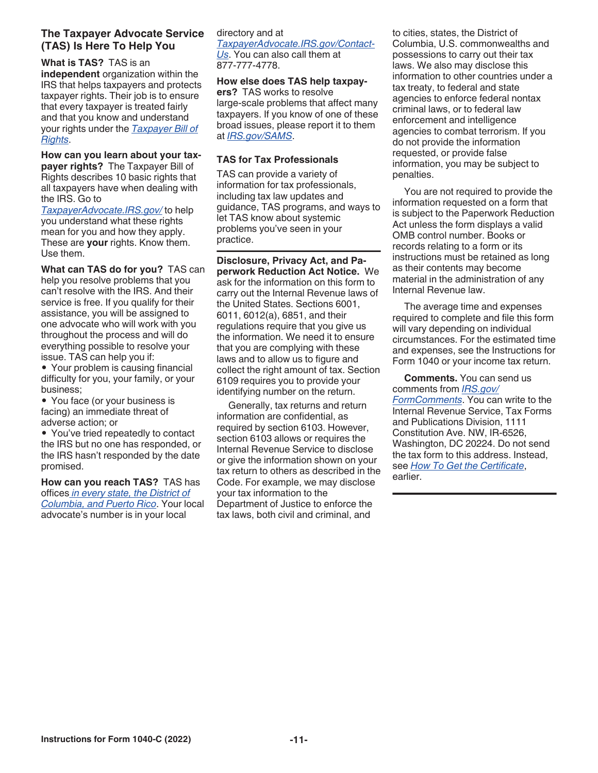## **The Taxpayer Advocate Service (TAS) Is Here To Help You**

**What is TAS?** TAS is an **independent** organization within the IRS that helps taxpayers and protects taxpayer rights. Their job is to ensure that every taxpayer is treated fairly and that you know and understand your rights under the *[Taxpayer Bill of](https://www.irs.gov/Taxpayer-bill-of-rights)  [Rights](https://www.irs.gov/Taxpayer-bill-of-rights)*.

**How can you learn about your taxpayer rights?** The Taxpayer Bill of Rights describes 10 basic rights that all taxpayers have when dealing with the IRS. Go to

*[TaxpayerAdvocate.IRS.gov/](https://www.taxpayeradvocate.irs.gov/)* to help you understand what these rights mean for you and how they apply. These are **your** rights. Know them. Use them.

**What can TAS do for you?** TAS can help you resolve problems that you can't resolve with the IRS. And their service is free. If you qualify for their assistance, you will be assigned to one advocate who will work with you throughout the process and will do everything possible to resolve your issue. TAS can help you if:

• Your problem is causing financial difficulty for you, your family, or your business;

• You face (or your business is facing) an immediate threat of adverse action; or

• You've tried repeatedly to contact the IRS but no one has responded, or the IRS hasn't responded by the date promised.

**How can you reach TAS?** TAS has offices *[in every state, the District of](https://www.irs.gov/advocate/local-taxpayer-advocate)  [Columbia, and Puerto Rico](https://www.irs.gov/advocate/local-taxpayer-advocate)*. Your local advocate's number is in your local

### directory and at

*[TaxpayerAdvocate.IRS.gov/Contact-](https://taxpayeradvocate.irs.gov/contact-us)[Us](https://taxpayeradvocate.irs.gov/contact-us)*. You can also call them at 877-777-4778.

### **How else does TAS help taxpay-**

**ers?** TAS works to resolve large-scale problems that affect many taxpayers. If you know of one of these broad issues, please report it to them at *[IRS.gov/SAMS](https://www.irs.gov/sams)*.

### **TAS for Tax Professionals**

TAS can provide a variety of information for tax professionals, including tax law updates and guidance, TAS programs, and ways to let TAS know about systemic problems you've seen in your practice.

**Disclosure, Privacy Act, and Paperwork Reduction Act Notice.** We ask for the information on this form to carry out the Internal Revenue laws of the United States. Sections 6001, 6011, 6012(a), 6851, and their regulations require that you give us the information. We need it to ensure that you are complying with these laws and to allow us to figure and collect the right amount of tax. Section 6109 requires you to provide your identifying number on the return.

Generally, tax returns and return information are confidential, as required by section 6103. However, section 6103 allows or requires the Internal Revenue Service to disclose or give the information shown on your tax return to others as described in the Code. For example, we may disclose your tax information to the Department of Justice to enforce the tax laws, both civil and criminal, and

to cities, states, the District of Columbia, U.S. commonwealths and possessions to carry out their tax laws. We also may disclose this information to other countries under a tax treaty, to federal and state agencies to enforce federal nontax criminal laws, or to federal law enforcement and intelligence agencies to combat terrorism. If you do not provide the information requested, or provide false information, you may be subject to penalties.

You are not required to provide the information requested on a form that is subject to the Paperwork Reduction Act unless the form displays a valid OMB control number. Books or records relating to a form or its instructions must be retained as long as their contents may become material in the administration of any Internal Revenue law.

The average time and expenses required to complete and file this form will vary depending on individual circumstances. For the estimated time and expenses, see the Instructions for Form 1040 or your income tax return.

**Comments.** You can send us comments from *[IRS.gov/](https://www.irs.gov/formcomments) [FormComments](https://www.irs.gov/formcomments)*. You can write to the Internal Revenue Service, Tax Forms and Publications Division, 1111 Constitution Ave. NW, IR-6526, Washington, DC 20224. Do not send the tax form to this address. Instead, see *[How To Get the Certificate](#page-1-0)*, earlier.